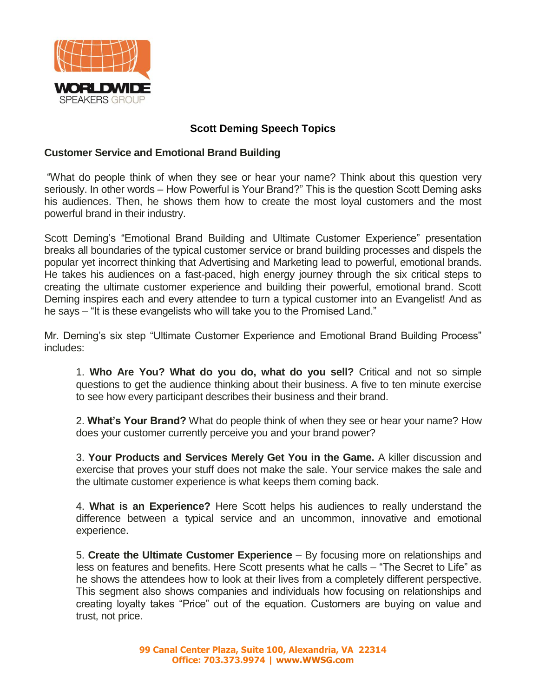

## **Scott Deming Speech Topics**

## **Customer Service and Emotional Brand Building**

"What do people think of when they see or hear your name? Think about this question very seriously. In other words – How Powerful is Your Brand?" This is the question Scott Deming asks his audiences. Then, he shows them how to create the most loyal customers and the most powerful brand in their industry.

Scott Deming's "Emotional Brand Building and Ultimate Customer Experience" presentation breaks all boundaries of the typical customer service or brand building processes and dispels the popular yet incorrect thinking that Advertising and Marketing lead to powerful, emotional brands. He takes his audiences on a fast-paced, high energy journey through the six critical steps to creating the ultimate customer experience and building their powerful, emotional brand. Scott Deming inspires each and every attendee to turn a typical customer into an Evangelist! And as he says – "It is these evangelists who will take you to the Promised Land."

Mr. Deming's six step "Ultimate Customer Experience and Emotional Brand Building Process" includes:

1. **Who Are You? What do you do, what do you sell?** Critical and not so simple questions to get the audience thinking about their business. A five to ten minute exercise to see how every participant describes their business and their brand.

2. **What's Your Brand?** What do people think of when they see or hear your name? How does your customer currently perceive you and your brand power?

3. **Your Products and Services Merely Get You in the Game.** A killer discussion and exercise that proves your stuff does not make the sale. Your service makes the sale and the ultimate customer experience is what keeps them coming back.

4. **What is an Experience?** Here Scott helps his audiences to really understand the difference between a typical service and an uncommon, innovative and emotional experience.

5. **Create the Ultimate Customer Experience** – By focusing more on relationships and less on features and benefits. Here Scott presents what he calls – "The Secret to Life" as he shows the attendees how to look at their lives from a completely different perspective. This segment also shows companies and individuals how focusing on relationships and creating loyalty takes "Price" out of the equation. Customers are buying on value and trust, not price.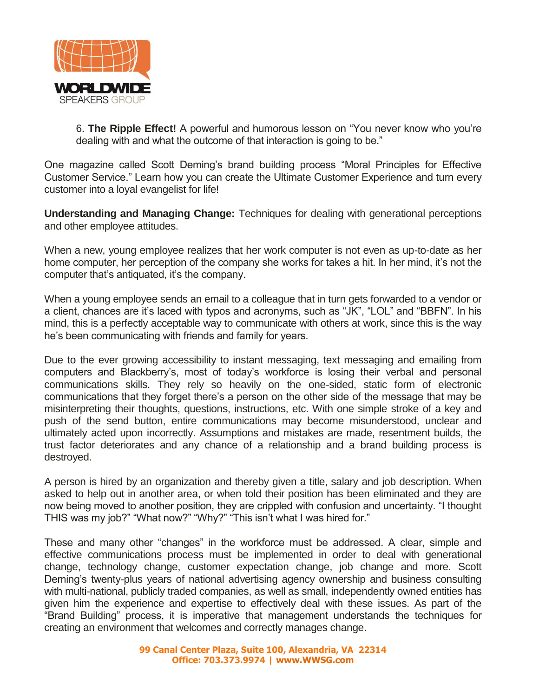

6. **The Ripple Effect!** A powerful and humorous lesson on "You never know who you're dealing with and what the outcome of that interaction is going to be."

One magazine called Scott Deming's brand building process "Moral Principles for Effective Customer Service." Learn how you can create the Ultimate Customer Experience and turn every customer into a loyal evangelist for life!

**Understanding and Managing Change:** Techniques for dealing with generational perceptions and other employee attitudes.

When a new, young employee realizes that her work computer is not even as up-to-date as her home computer, her perception of the company she works for takes a hit. In her mind, it's not the computer that's antiquated, it's the company.

When a young employee sends an email to a colleague that in turn gets forwarded to a vendor or a client, chances are it's laced with typos and acronyms, such as "JK", "LOL" and "BBFN". In his mind, this is a perfectly acceptable way to communicate with others at work, since this is the way he's been communicating with friends and family for years.

Due to the ever growing accessibility to instant messaging, text messaging and emailing from computers and Blackberry's, most of today's workforce is losing their verbal and personal communications skills. They rely so heavily on the one-sided, static form of electronic communications that they forget there's a person on the other side of the message that may be misinterpreting their thoughts, questions, instructions, etc. With one simple stroke of a key and push of the send button, entire communications may become misunderstood, unclear and ultimately acted upon incorrectly. Assumptions and mistakes are made, resentment builds, the trust factor deteriorates and any chance of a relationship and a brand building process is destroyed.

A person is hired by an organization and thereby given a title, salary and job description. When asked to help out in another area, or when told their position has been eliminated and they are now being moved to another position, they are crippled with confusion and uncertainty. "I thought THIS was my job?" "What now?" "Why?" "This isn't what I was hired for."

These and many other "changes" in the workforce must be addressed. A clear, simple and effective communications process must be implemented in order to deal with generational change, technology change, customer expectation change, job change and more. Scott Deming's twenty-plus years of national advertising agency ownership and business consulting with multi-national, publicly traded companies, as well as small, independently owned entities has given him the experience and expertise to effectively deal with these issues. As part of the "Brand Building" process, it is imperative that management understands the techniques for creating an environment that welcomes and correctly manages change.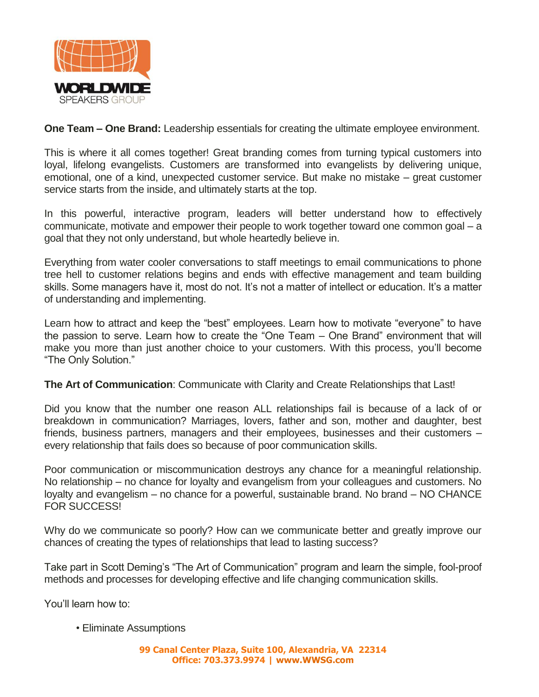

**One Team – One Brand:** Leadership essentials for creating the ultimate employee environment.

This is where it all comes together! Great branding comes from turning typical customers into loyal, lifelong evangelists. Customers are transformed into evangelists by delivering unique, emotional, one of a kind, unexpected customer service. But make no mistake – great customer service starts from the inside, and ultimately starts at the top.

In this powerful, interactive program, leaders will better understand how to effectively communicate, motivate and empower their people to work together toward one common goal – a goal that they not only understand, but whole heartedly believe in.

Everything from water cooler conversations to staff meetings to email communications to phone tree hell to customer relations begins and ends with effective management and team building skills. Some managers have it, most do not. It's not a matter of intellect or education. It's a matter of understanding and implementing.

Learn how to attract and keep the "best" employees. Learn how to motivate "everyone" to have the passion to serve. Learn how to create the "One Team – One Brand" environment that will make you more than just another choice to your customers. With this process, you'll become "The Only Solution."

## **The Art of Communication**: Communicate with Clarity and Create Relationships that Last!

Did you know that the number one reason ALL relationships fail is because of a lack of or breakdown in communication? Marriages, lovers, father and son, mother and daughter, best friends, business partners, managers and their employees, businesses and their customers – every relationship that fails does so because of poor communication skills.

Poor communication or miscommunication destroys any chance for a meaningful relationship. No relationship – no chance for loyalty and evangelism from your colleagues and customers. No loyalty and evangelism – no chance for a powerful, sustainable brand. No brand – NO CHANCE FOR SUCCESS!

Why do we communicate so poorly? How can we communicate better and greatly improve our chances of creating the types of relationships that lead to lasting success?

Take part in Scott Deming's "The Art of Communication" program and learn the simple, fool-proof methods and processes for developing effective and life changing communication skills.

You'll learn how to:

• Eliminate Assumptions